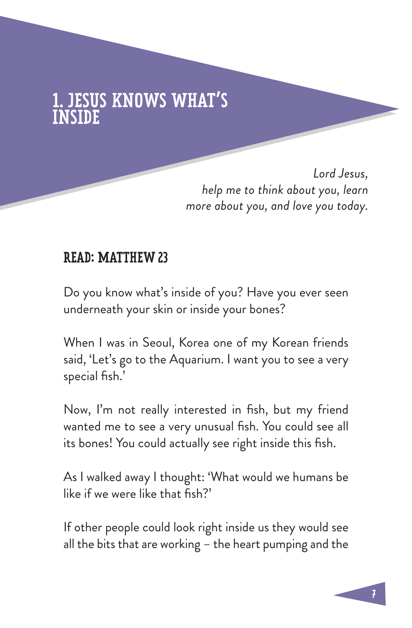## **ESUS KNOWS WHAT'S** INSIDE

*Lord Jesus, help me to think about you, learn more about you, and love you today.*

#### READ: MATTHEW 23

Do you know what's inside of you? Have you ever seen underneath your skin or inside your bones?

When I was in Seoul, Korea one of my Korean friends said, 'Let's go to the Aquarium. I want you to see a very special fish.'

Now, I'm not really interested in fish, but my friend wanted me to see a very unusual fish. You could see all its bones! You could actually see right inside this fish.

As I walked away I thought: 'What would we humans be like if we were like that fish?'

If other people could look right inside us they would see all the bits that are working – the heart pumping and the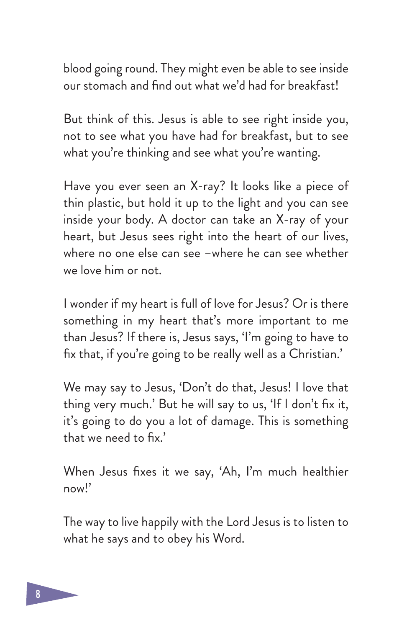blood going round. They might even be able to see inside our stomach and find out what we'd had for breakfast!

But think of this. Jesus is able to see right inside you, not to see what you have had for breakfast, but to see what you're thinking and see what you're wanting.

Have you ever seen an X-ray? It looks like a piece of thin plastic, but hold it up to the light and you can see inside your body. A doctor can take an X-ray of your heart, but Jesus sees right into the heart of our lives, where no one else can see –where he can see whether we love him or not.

I wonder if my heart is full of love for Jesus? Or is there something in my heart that's more important to me than Jesus? If there is, Jesus says, 'I'm going to have to fix that, if you're going to be really well as a Christian.'

We may say to Jesus, 'Don't do that, Jesus! I love that thing very much.' But he will say to us, 'If I don't fix it, it's going to do you a lot of damage. This is something that we need to fix.'

When Jesus fixes it we say, 'Ah, I'm much healthier now!'

The way to live happily with the Lord Jesus is to listen to what he says and to obey his Word.

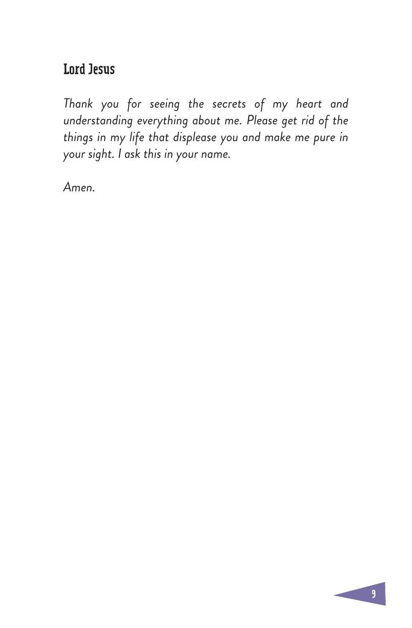### Lord Jesus

*Thank you for seeing the secrets of my heart and understanding everything about me. Please get rid of the things in my life that displease you and make me pure in your sight. I ask this in your name.* 

*Amen.*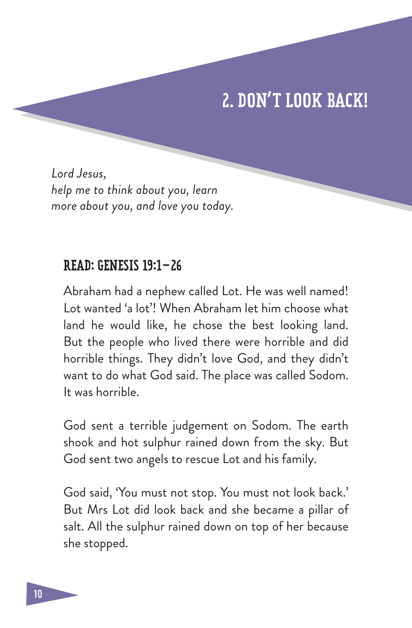# 2. DON'T LOOK BACK!

*Lord Jesus, help me to think about you, learn more about you, and love you today.*

#### READ: GENESIS 19:1–26

Abraham had a nephew called Lot. He was well named! Lot wanted 'a lot'! When Abraham let him choose what land he would like, he chose the best looking land. But the people who lived there were horrible and did horrible things. They didn't love God, and they didn't want to do what God said. The place was called Sodom. It was horrible.

God sent a terrible judgement on Sodom. The earth shook and hot sulphur rained down from the sky. But God sent two angels to rescue Lot and his family.

God said, 'You must not stop. You must not look back.' But Mrs Lot did look back and she became a pillar of salt. All the sulphur rained down on top of her because she stopped.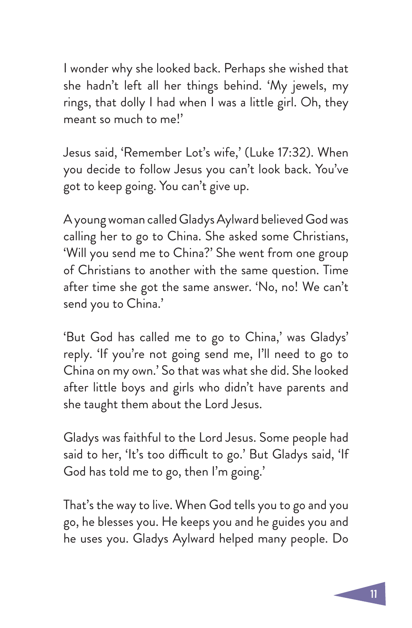I wonder why she looked back. Perhaps she wished that she hadn't left all her things behind. 'My jewels, my rings, that dolly I had when I was a little girl. Oh, they meant so much to me!'

Jesus said, 'Remember Lot's wife,' (Luke 17:32). When you decide to follow Jesus you can't look back. You've got to keep going. You can't give up.

A young woman called Gladys Aylward believed God was calling her to go to China. She asked some Christians, 'Will you send me to China?' She went from one group of Christians to another with the same question. Time after time she got the same answer. 'No, no! We can't send you to China.'

'But God has called me to go to China,' was Gladys' reply. 'If you're not going send me, I'll need to go to China on my own.' So that was what she did. She looked after little boys and girls who didn't have parents and she taught them about the Lord Jesus.

Gladys was faithful to the Lord Jesus. Some people had said to her, 'It's too difficult to go.' But Gladys said, 'If God has told me to go, then I'm going.'

That's the way to live. When God tells you to go and you go, he blesses you. He keeps you and he guides you and he uses you. Gladys Aylward helped many people. Do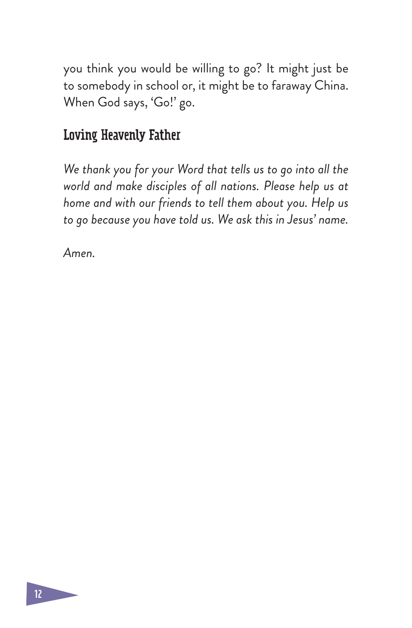you think you would be willing to go? It might just be to somebody in school or, it might be to faraway China. When God says, 'Go!' go.

### Loving Heavenly Father

*We thank you for your Word that tells us to go into all the world and make disciples of all nations. Please help us at home and with our friends to tell them about you. Help us to go because you have told us. We ask this in Jesus' name.* 

*Amen.*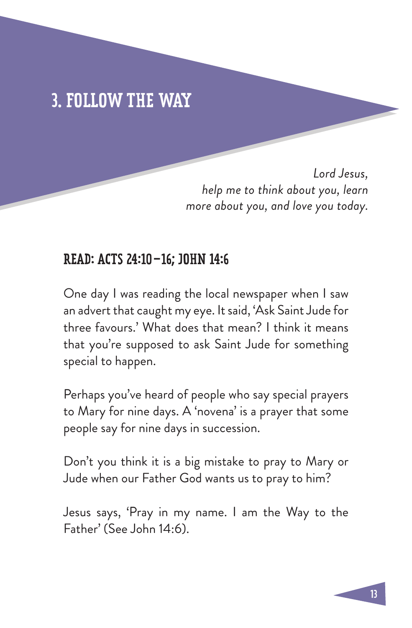# 3. FOLLOW THE WAY

*Lord Jesus, help me to think about you, learn more about you, and love you today.*

#### READ: ACTS 24:10–16; JOHN 14:6

One day I was reading the local newspaper when I saw an advert that caught my eye. It said, 'Ask Saint Jude for three favours.' What does that mean? I think it means that you're supposed to ask Saint Jude for something special to happen.

Perhaps you've heard of people who say special prayers to Mary for nine days. A 'novena' is a prayer that some people say for nine days in succession.

Don't you think it is a big mistake to pray to Mary or Jude when our Father God wants us to pray to him?

Jesus says, 'Pray in my name. I am the Way to the Father' (See John 14:6).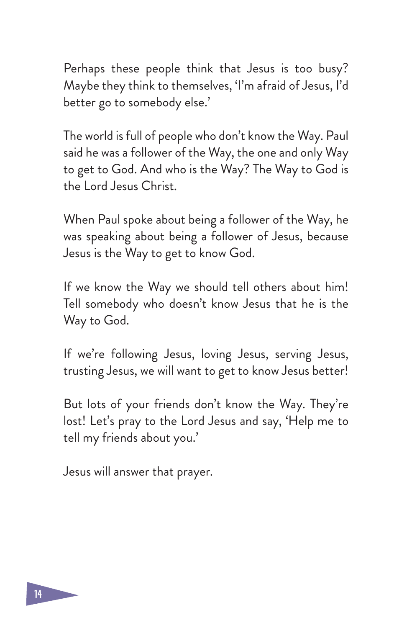Perhaps these people think that Jesus is too busy? Maybe they think to themselves, 'I'm afraid of Jesus, I'd better go to somebody else.'

The world is full of people who don't know the Way. Paul said he was a follower of the Way, the one and only Way to get to God. And who is the Way? The Way to God is the Lord Jesus Christ.

When Paul spoke about being a follower of the Way, he was speaking about being a follower of Jesus, because Jesus is the Way to get to know God.

If we know the Way we should tell others about him! Tell somebody who doesn't know Jesus that he is the Way to God.

If we're following Jesus, loving Jesus, serving Jesus, trusting Jesus, we will want to get to know Jesus better!

But lots of your friends don't know the Way. They're lost! Let's pray to the Lord Jesus and say, 'Help me to tell my friends about you.'

Jesus will answer that prayer.